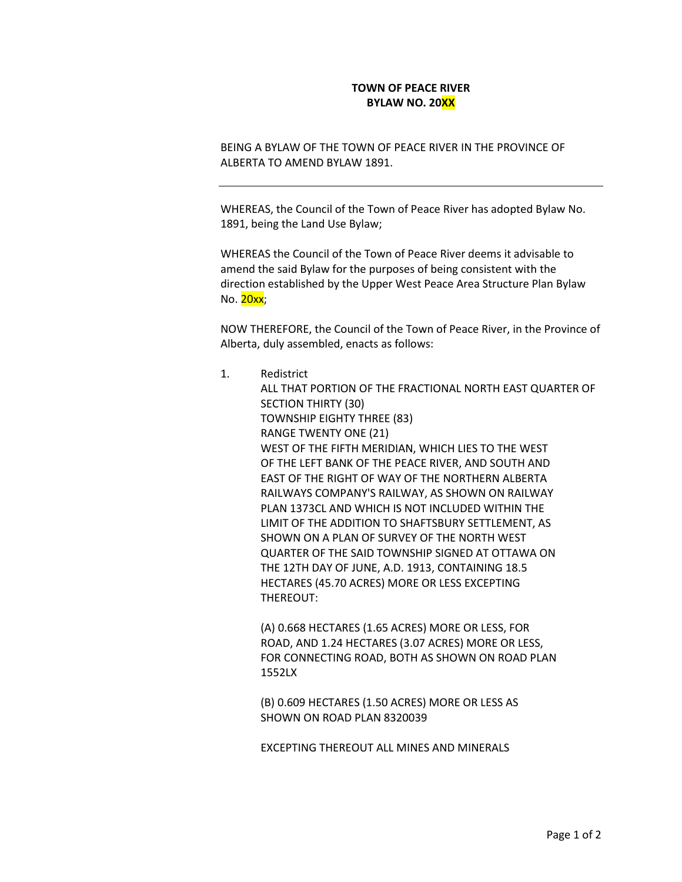## **TOWN OF PEACE RIVER BYLAW NO. 20XX**

BEING A BYLAW OF THE TOWN OF PEACE RIVER IN THE PROVINCE OF ALBERTA TO AMEND BYLAW 1891.

WHEREAS, the Council of the Town of Peace River has adopted Bylaw No. 1891, being the Land Use Bylaw;

WHEREAS the Council of the Town of Peace River deems it advisable to amend the said Bylaw for the purposes of being consistent with the direction established by the Upper West Peace Area Structure Plan Bylaw No. 20xx;

NOW THEREFORE, the Council of the Town of Peace River, in the Province of Alberta, duly assembled, enacts as follows:

1. Redistrict

ALL THAT PORTION OF THE FRACTIONAL NORTH EAST QUARTER OF SECTION THIRTY (30) TOWNSHIP EIGHTY THREE (83) RANGE TWENTY ONE (21) WEST OF THE FIFTH MERIDIAN, WHICH LIES TO THE WEST OF THE LEFT BANK OF THE PEACE RIVER, AND SOUTH AND EAST OF THE RIGHT OF WAY OF THE NORTHERN ALBERTA RAILWAYS COMPANY'S RAILWAY, AS SHOWN ON RAILWAY PLAN 1373CL AND WHICH IS NOT INCLUDED WITHIN THE LIMIT OF THE ADDITION TO SHAFTSBURY SETTLEMENT, AS SHOWN ON A PLAN OF SURVEY OF THE NORTH WEST QUARTER OF THE SAID TOWNSHIP SIGNED AT OTTAWA ON THE 12TH DAY OF JUNE, A.D. 1913, CONTAINING 18.5 HECTARES (45.70 ACRES) MORE OR LESS EXCEPTING THEREOUT:

(A) 0.668 HECTARES (1.65 ACRES) MORE OR LESS, FOR ROAD, AND 1.24 HECTARES (3.07 ACRES) MORE OR LESS, FOR CONNECTING ROAD, BOTH AS SHOWN ON ROAD PLAN 1552LX

(B) 0.609 HECTARES (1.50 ACRES) MORE OR LESS AS SHOWN ON ROAD PLAN 8320039

EXCEPTING THEREOUT ALL MINES AND MINERALS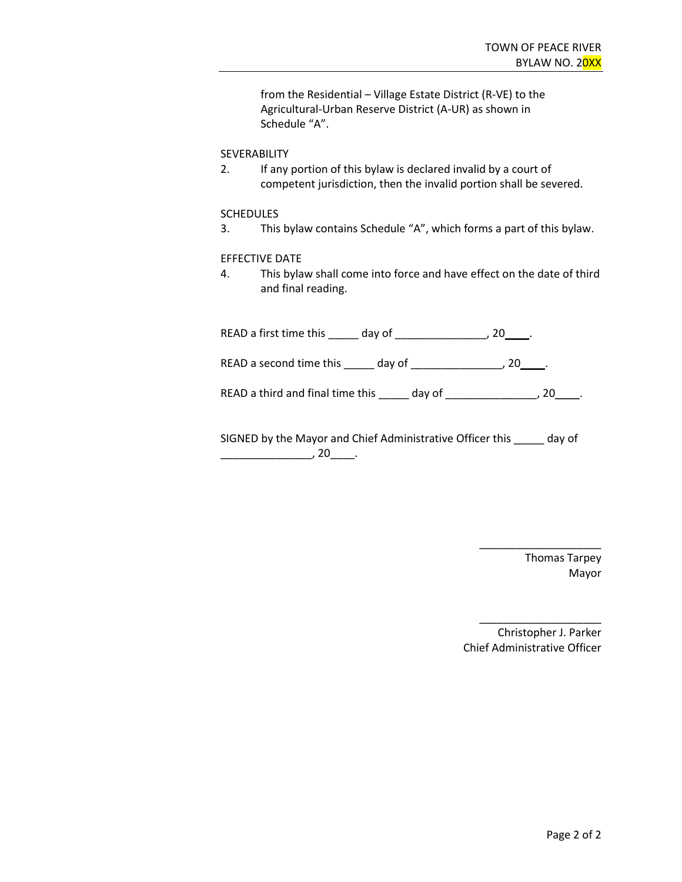from the Residential – Village Estate District (R-VE) to the Agricultural-Urban Reserve District (A-UR) as shown in Schedule "A".

### SEVERABILITY

2. If any portion of this bylaw is declared invalid by a court of competent jurisdiction, then the invalid portion shall be severed.

#### **SCHEDULES**

3. This bylaw contains Schedule "A", which forms a part of this bylaw.

#### EFFECTIVE DATE

4. This bylaw shall come into force and have effect on the date of third and final reading.

| READ a first time this day of    |                               |    |
|----------------------------------|-------------------------------|----|
| READ a second time this day of   |                               | 20 |
| READ a third and final time this | day of $\qquad \qquad \qquad$ | 20 |
|                                  |                               |    |

SIGNED by the Mayor and Chief Administrative Officer this \_\_\_\_\_ day of  $\overline{\phantom{a}}$ , 20 $\overline{\phantom{a}}$ .

> Thomas Tarpey Mayor

\_\_\_\_\_\_\_\_\_\_\_\_\_\_\_\_\_\_\_\_

Christopher J. Parker Chief Administrative Officer

\_\_\_\_\_\_\_\_\_\_\_\_\_\_\_\_\_\_\_\_